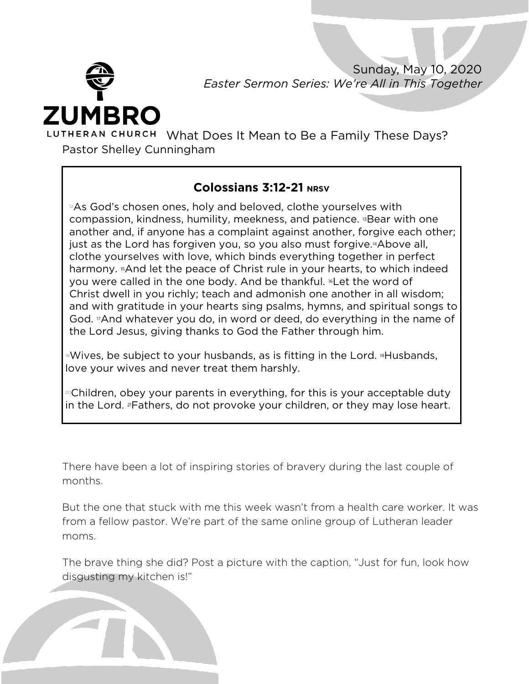

Sunday, May 10, 2020 *Easter Sermon Series: We're All in This Together*

What Does It Mean to Be a Family These Days? Pastor Shelley Cunningham

## **Colossians 3:12-21 NRSV**

 $2A$ s God's chosen ones, holy and beloved, clothe yourselves with compassion, kindness, humility, meekness, and patience. <sup>13</sup> Bear with one another and, if anyone has a complaint against another, forgive each other; just as the Lord has forgiven you, so you also must forgive.14Above all, clothe yourselves with love, which binds everything together in perfect harmony. **"And let the peace of Christ rule in your hearts, to which indeed** you were called in the one body. And be thankful. <sup>6</sup>Let the word of Christ dwell in you richly; teach and admonish one another in all wisdom; and with gratitude in your hearts sing psalms, hymns, and spiritual songs to God. 17And whatever you do, in word or deed, do everything in the name of the Lord Jesus, giving thanks to God the Father through him.

**Nives, be subject to your husbands, as is fitting in the Lord. <sup>19</sup>Husbands,** love your wives and never treat them harshly.

<sup>20</sup>Children, obey your parents in everything, for this is your acceptable duty in the Lord. 21Fathers, do not provoke your children, or they may lose heart.

There have been a lot of inspiring stories of bravery during the last couple of months.

But the one that stuck with me this week wasn't from a health care worker. It was from a fellow pastor. We're part of the same online group of Lutheran leader moms.

The brave thing she did? Post a picture with the caption, "Just for fun, look how disgusting my kitchen is!"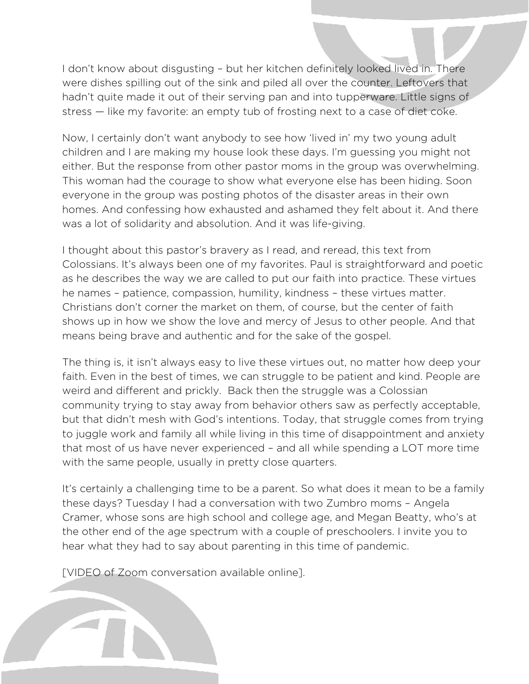I don't know about disgusting – but her kitchen definitely looked lived in. There were dishes spilling out of the sink and piled all over the counter. Leftovers that hadn't quite made it out of their serving pan and into tupperware. Little signs of stress — like my favorite: an empty tub of frosting next to a case of diet coke.

Now, I certainly don't want anybody to see how 'lived in' my two young adult children and I are making my house look these days. I'm guessing you might not either. But the response from other pastor moms in the group was overwhelming. This woman had the courage to show what everyone else has been hiding. Soon everyone in the group was posting photos of the disaster areas in their own homes. And confessing how exhausted and ashamed they felt about it. And there was a lot of solidarity and absolution. And it was life-giving.

I thought about this pastor's bravery as I read, and reread, this text from Colossians. It's always been one of my favorites. Paul is straightforward and poetic as he describes the way we are called to put our faith into practice. These virtues he names – patience, compassion, humility, kindness – these virtues matter. Christians don't corner the market on them, of course, but the center of faith shows up in how we show the love and mercy of Jesus to other people. And that means being brave and authentic and for the sake of the gospel.

The thing is, it isn't always easy to live these virtues out, no matter how deep your faith. Even in the best of times, we can struggle to be patient and kind. People are weird and different and prickly. Back then the struggle was a Colossian community trying to stay away from behavior others saw as perfectly acceptable, but that didn't mesh with God's intentions. Today, that struggle comes from trying to juggle work and family all while living in this time of disappointment and anxiety that most of us have never experienced – and all while spending a LOT more time with the same people, usually in pretty close quarters.

It's certainly a challenging time to be a parent. So what does it mean to be a family these days? Tuesday I had a conversation with two Zumbro moms – Angela Cramer, whose sons are high school and college age, and Megan Beatty, who's at the other end of the age spectrum with a couple of preschoolers. I invite you to hear what they had to say about parenting in this time of pandemic.

[VIDEO of Zoom conversation available online].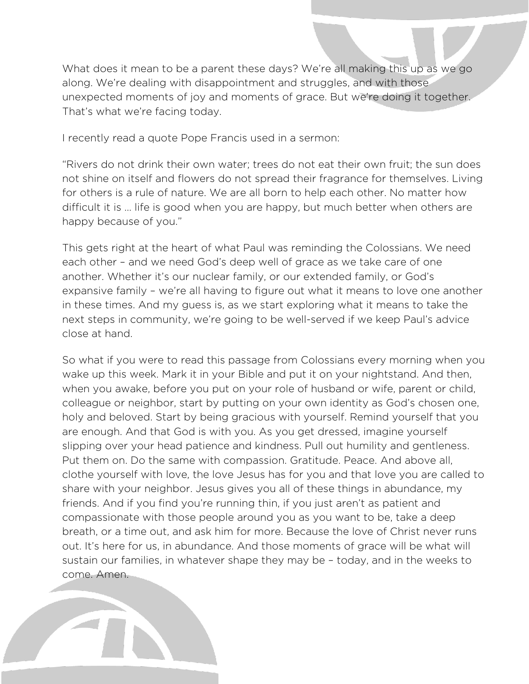What does it mean to be a parent these days? We're all making this up as we go along. We're dealing with disappointment and struggles, and with those unexpected moments of joy and moments of grace. But we're doing it together. That's what we're facing today.

I recently read a quote Pope Francis used in a sermon:

"Rivers do not drink their own water; trees do not eat their own fruit; the sun does not shine on itself and flowers do not spread their fragrance for themselves. Living for others is a rule of nature. We are all born to help each other. No matter how difficult it is … life is good when you are happy, but much better when others are happy because of you."

This gets right at the heart of what Paul was reminding the Colossians. We need each other – and we need God's deep well of grace as we take care of one another. Whether it's our nuclear family, or our extended family, or God's expansive family – we're all having to figure out what it means to love one another in these times. And my guess is, as we start exploring what it means to take the next steps in community, we're going to be well-served if we keep Paul's advice close at hand.

So what if you were to read this passage from Colossians every morning when you wake up this week. Mark it in your Bible and put it on your nightstand. And then, when you awake, before you put on your role of husband or wife, parent or child, colleague or neighbor, start by putting on your own identity as God's chosen one, holy and beloved. Start by being gracious with yourself. Remind yourself that you are enough. And that God is with you. As you get dressed, imagine yourself slipping over your head patience and kindness. Pull out humility and gentleness. Put them on. Do the same with compassion. Gratitude. Peace. And above all, clothe yourself with love, the love Jesus has for you and that love you are called to share with your neighbor. Jesus gives you all of these things in abundance, my friends. And if you find you're running thin, if you just aren't as patient and compassionate with those people around you as you want to be, take a deep breath, or a time out, and ask him for more. Because the love of Christ never runs out. It's here for us, in abundance. And those moments of grace will be what will sustain our families, in whatever shape they may be – today, and in the weeks to come. Amen.